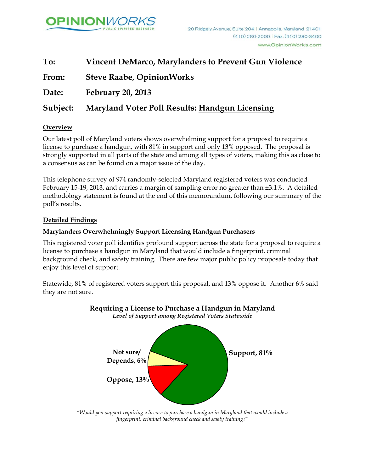

| To:      | <b>Vincent DeMarco, Marylanders to Prevent Gun Violence</b> |
|----------|-------------------------------------------------------------|
| From:    | <b>Steve Raabe, OpinionWorks</b>                            |
| Date:    | <b>February 20, 2013</b>                                    |
| Subject: | <b>Maryland Voter Poll Results: Handgun Licensing</b>       |

### **Overview**

Our latest poll of Maryland voters shows overwhelming support for a proposal to require a license to purchase a handgun, with 81% in support and only 13% opposed. The proposal is strongly supported in all parts of the state and among all types of voters, making this as close to a consensus as can be found on a major issue of the day.

This telephone survey of 974 randomly-selected Maryland registered voters was conducted February 15-19, 2013, and carries a margin of sampling error no greater than ±3.1%. A detailed methodology statement is found at the end of this memorandum, following our summary of the poll's results.

### **Detailed Findings**

### **Marylanders Overwhelmingly Support Licensing Handgun Purchasers**

This registered voter poll identifies profound support across the state for a proposal to require a license to purchase a handgun in Maryland that would include a fingerprint, criminal background check, and safety training. There are few major public policy proposals today that enjoy this level of support.

Statewide, 81% of registered voters support this proposal, and 13% oppose it. Another 6% said they are not sure.



#### **Requiring a License to Purchase a Handgun in Maryland**  *Level of Support among Registered Voters Statewide*

*"Would you support requiring a license to purchase a handgun in Maryland that would include a fingerprint, criminal background check and safety training?"*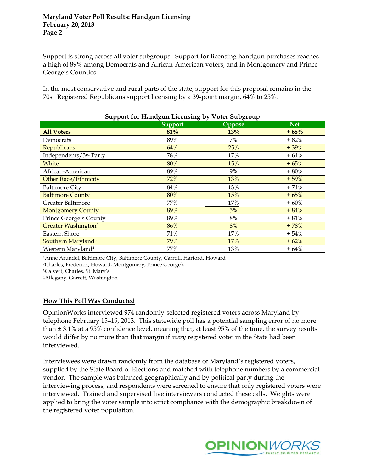Support is strong across all voter subgroups. Support for licensing handgun purchases reaches a high of 89% among Democrats and African-American voters, and in Montgomery and Prince George's s Counties.

In the most conservative and rural parts of the state, support for this proposal remains in the 70s. Registered Republicans support licensing by a 39-point margin, 64% to 25%.

| Support for Handgun Licensing by voter Subgroup                                                                                                                                                                                                          |         |        |            |  |
|----------------------------------------------------------------------------------------------------------------------------------------------------------------------------------------------------------------------------------------------------------|---------|--------|------------|--|
|                                                                                                                                                                                                                                                          | Support | Oppose | <b>Net</b> |  |
| <b>All Voters</b>                                                                                                                                                                                                                                        | 81%     | 13%    | $+68%$     |  |
| Democrats                                                                                                                                                                                                                                                | 89%     | 7%     | $+82%$     |  |
| Republicans                                                                                                                                                                                                                                              | 64%     | 25%    | $+39%$     |  |
| Independents/3rd Party                                                                                                                                                                                                                                   | 78%     | 17%    | $+61%$     |  |
| White                                                                                                                                                                                                                                                    | 80%     | 15%    | $+65%$     |  |
| African-American                                                                                                                                                                                                                                         | 89%     | 9%     | $+80%$     |  |
| Other Race/Ethnicity                                                                                                                                                                                                                                     | 72%     | 13%    | $+59%$     |  |
| <b>Baltimore City</b>                                                                                                                                                                                                                                    | 84%     | 13%    | $+71%$     |  |
| <b>Baltimore County</b>                                                                                                                                                                                                                                  | 80%     | 15%    | $+65%$     |  |
| Greater Baltimore <sup>1</sup>                                                                                                                                                                                                                           | 77%     | 17%    | $+60%$     |  |
| <b>Montgomery County</b>                                                                                                                                                                                                                                 | 89%     | 5%     | $+84%$     |  |
| Prince George's County                                                                                                                                                                                                                                   | 89%     | $8\%$  | $+81%$     |  |
| <b>Greater Washington<sup>2</sup></b>                                                                                                                                                                                                                    | 86%     | 8%     | $+78%$     |  |
| Eastern Shore                                                                                                                                                                                                                                            | 71%     | 17%    | $+54%$     |  |
| Southern Maryland <sup>3</sup>                                                                                                                                                                                                                           | 79%     | 17%    | $+62%$     |  |
| Western Maryland <sup>4</sup>                                                                                                                                                                                                                            | 77%     | 13%    | $+64%$     |  |
| <sup>1</sup> Anne Arundel, Baltimore City, Baltimore County, Carroll, Harford, Howard<br><sup>2</sup> Charles, Frederick, Howard, Montgomery, Prince George's<br><sup>3</sup> Calvert, Charles, St. Mary's<br><sup>4</sup> Allegany, Garrett, Washington |         |        |            |  |
| How This Poll Was Conducted<br>OpinionWorks interviewed 974 randomly-selected registered voters across Maryland by                                                                                                                                       |         |        |            |  |

# **Support for Handgun Licensing by Voter Subgroup**

### **How Thi is Poll Was Conducted**

OpinionWorks interviewed 974 randomly-selected registered voters across Maryland by telephone February 15–19, 2013. This statewide poll has a potential sampling error of no more than ± 3.1% at a 95% confidence level, meaning that, at least 95% of the time, the survey results would differ by no more than that margin if *every* registered voter in the State had been interviewed.

Interviewees were drawn randomly from the database of Maryland's registered voters, supplied by the State Board of Elections and matched with telephone numbers by a commercial vendor. The sample was balanced geographically and by political party during the interviewing process, and respondents were screened to ensure that only registered voters were interviewed. Trained and supervised live interviewers conducted these calls. Weights were applied to bring the voter sample into strict compliance with the demographic breakdown of the registered voter population.